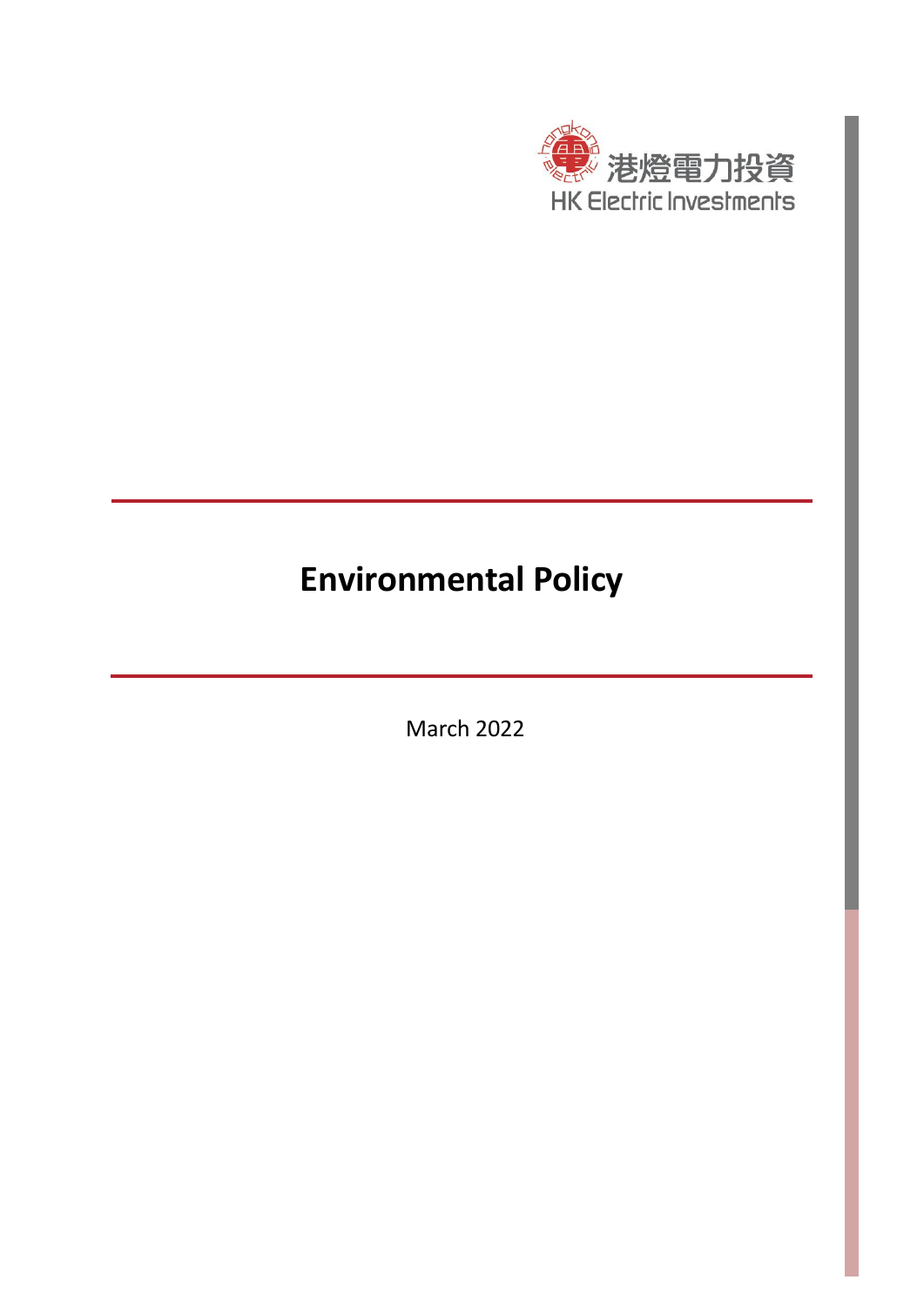

# **Environmental Policy**

March 2022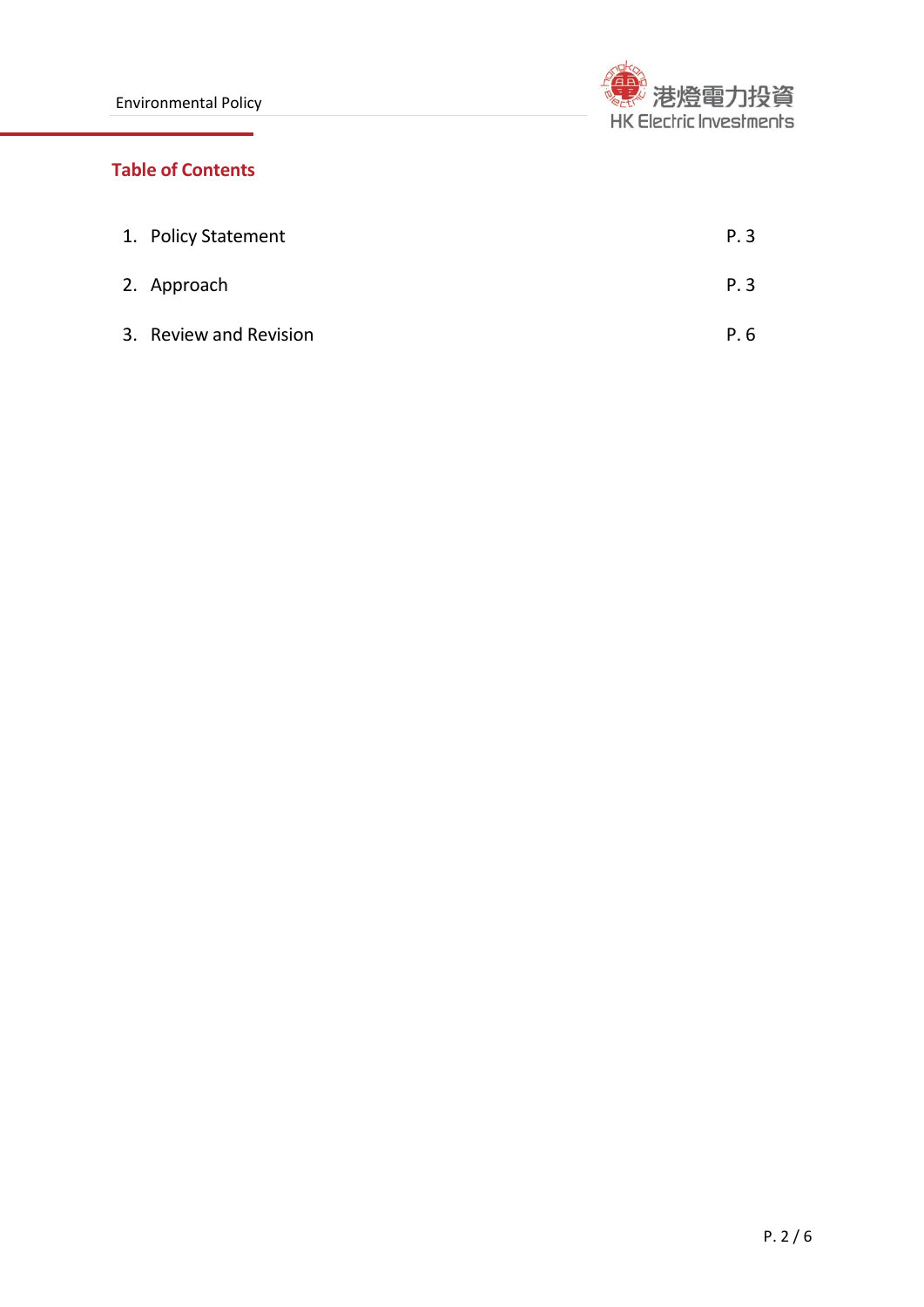

# **Table of Contents**

| 1. Policy Statement    | P.3 |
|------------------------|-----|
| 2. Approach            | P.3 |
| 3. Review and Revision | P.6 |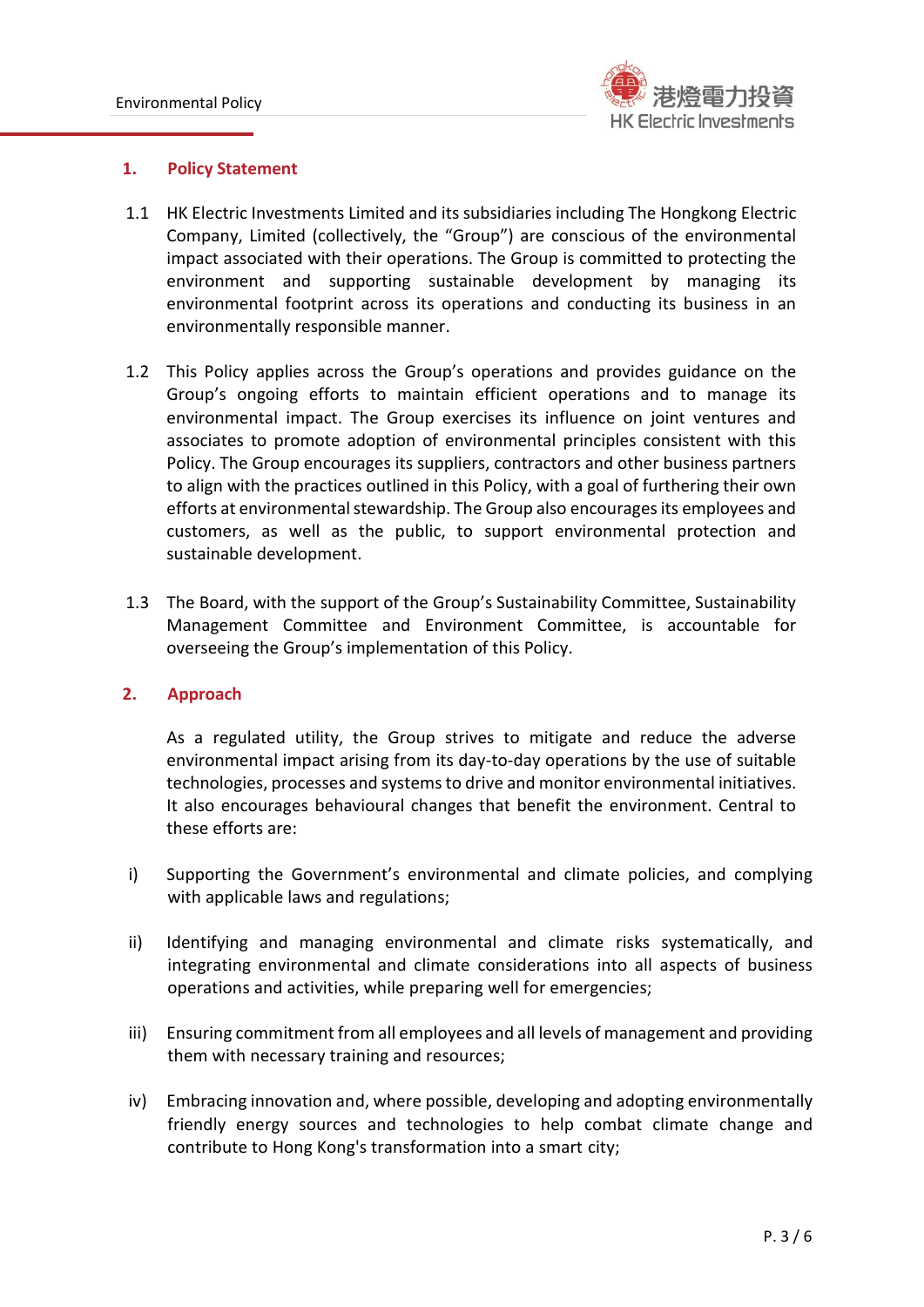

#### **1. Policy Statement**

- 1.1 HK Electric Investments Limited and its subsidiaries including The Hongkong Electric Company, Limited (collectively, the "Group") are conscious of the environmental impact associated with their operations. The Group is committed to protecting the environment and supporting sustainable development by managing its environmental footprint across its operations and conducting its business in an environmentally responsible manner.
- 1.2 This Policy applies across the Group's operations and provides guidance on the Group's ongoing efforts to maintain efficient operations and to manage its environmental impact. The Group exercises its influence on joint ventures and associates to promote adoption of environmental principles consistent with this Policy. The Group encourages its suppliers, contractors and other business partners to align with the practices outlined in this Policy, with a goal of furthering their own efforts at environmental stewardship. The Group also encourages its employees and customers, as well as the public, to support environmental protection and sustainable development.
- 1.3 The Board, with the support of the Group's Sustainability Committee, Sustainability Management Committee and Environment Committee, is accountable for overseeing the Group's implementation of this Policy.

# **2. Approach**

As a regulated utility, the Group strives to mitigate and reduce the adverse environmental impact arising from its day-to-day operations by the use of suitable technologies, processes and systems to drive and monitor environmental initiatives. It also encourages behavioural changes that benefit the environment. Central to these efforts are:

- i) Supporting the Government's environmental and climate policies, and complying with applicable laws and regulations;
- ii) Identifying and managing environmental and climate risks systematically, and integrating environmental and climate considerations into all aspects of business operations and activities, while preparing well for emergencies;
- iii) Ensuring commitment from all employees and all levels of management and providing them with necessary training and resources;
- iv) Embracing innovation and, where possible, developing and adopting environmentally friendly energy sources and technologies to help combat climate change and contribute to Hong Kong's transformation into a smart city;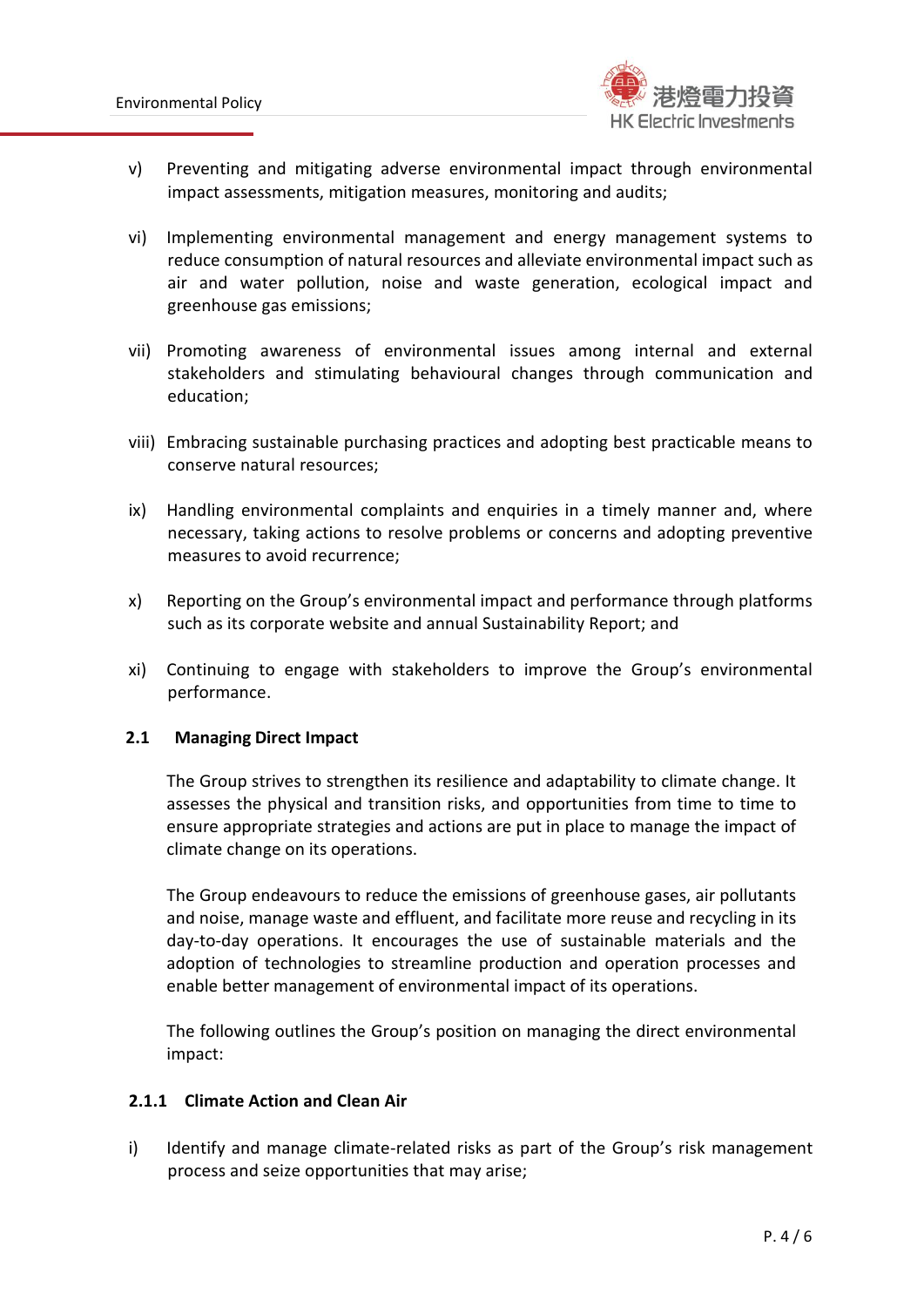

- v) Preventing and mitigating adverse environmental impact through environmental impact assessments, mitigation measures, monitoring and audits;
- vi) Implementing environmental management and energy management systems to reduce consumption of natural resources and alleviate environmental impact such as air and water pollution, noise and waste generation, ecological impact and greenhouse gas emissions;
- vii) Promoting awareness of environmental issues among internal and external stakeholders and stimulating behavioural changes through communication and education;
- viii) Embracing sustainable purchasing practices and adopting best practicable means to conserve natural resources;
- ix) Handling environmental complaints and enquiries in a timely manner and, where necessary, taking actions to resolve problems or concerns and adopting preventive measures to avoid recurrence;
- x) Reporting on the Group's environmental impact and performance through platforms such as its corporate website and annual Sustainability Report; and
- xi) Continuing to engage with stakeholders to improve the Group's environmental performance.

# **2.1 Managing Direct Impact**

The Group strives to strengthen its resilience and adaptability to climate change. It assesses the physical and transition risks, and opportunities from time to time to ensure appropriate strategies and actions are put in place to manage the impact of climate change on its operations.

The Group endeavours to reduce the emissions of greenhouse gases, air pollutants and noise, manage waste and effluent, and facilitate more reuse and recycling in its day-to-day operations. It encourages the use of sustainable materials and the adoption of technologies to streamline production and operation processes and enable better management of environmental impact of its operations.

The following outlines the Group's position on managing the direct environmental impact:

# **2.1.1 Climate Action and Clean Air**

i) Identify and manage climate-related risks as part of the Group's risk management process and seize opportunities that may arise;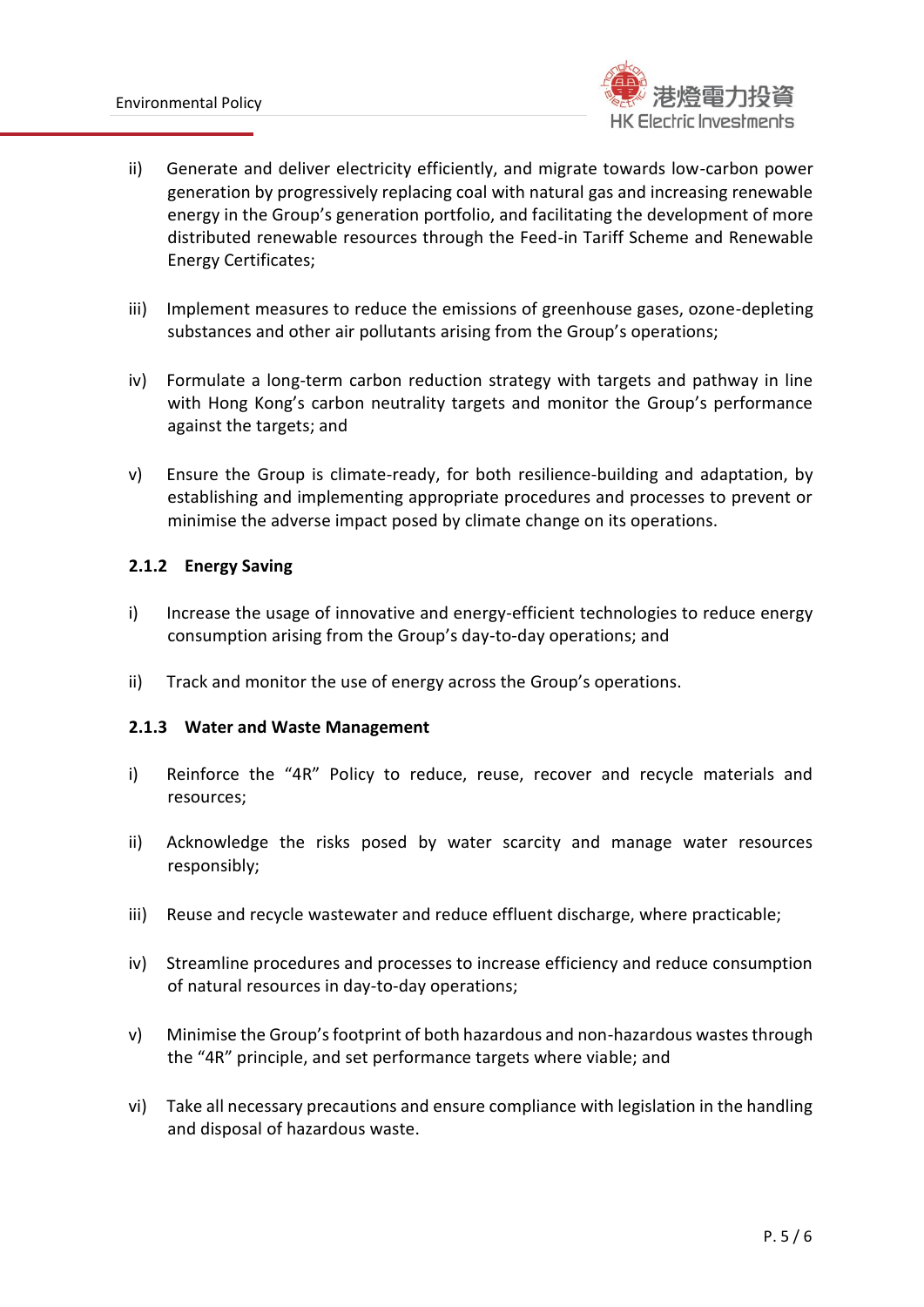

- ii) Generate and deliver electricity efficiently, and migrate towards low-carbon power generation by progressively replacing coal with natural gas and increasing renewable energy in the Group's generation portfolio, and facilitating the development of more distributed renewable resources through the Feed-in Tariff Scheme and Renewable Energy Certificates;
- iii) Implement measures to reduce the emissions of greenhouse gases, ozone-depleting substances and other air pollutants arising from the Group's operations;
- iv) Formulate a long-term carbon reduction strategy with targets and pathway in line with Hong Kong's carbon neutrality targets and monitor the Group's performance against the targets; and
- v) Ensure the Group is climate-ready, for both resilience-building and adaptation, by establishing and implementing appropriate procedures and processes to prevent or minimise the adverse impact posed by climate change on its operations.

# **2.1.2 Energy Saving**

- i) Increase the usage of innovative and energy-efficient technologies to reduce energy consumption arising from the Group's day-to-day operations; and
- ii) Track and monitor the use of energy across the Group's operations.

# **2.1.3 Water and Waste Management**

- i) Reinforce the "4R" Policy to reduce, reuse, recover and recycle materials and resources;
- ii) Acknowledge the risks posed by water scarcity and manage water resources responsibly;
- iii) Reuse and recycle wastewater and reduce effluent discharge, where practicable;
- iv) Streamline procedures and processes to increase efficiency and reduce consumption of natural resources in day-to-day operations;
- v) Minimise the Group's footprint of both hazardous and non-hazardous wastes through the "4R" principle, and set performance targets where viable; and
- vi) Take all necessary precautions and ensure compliance with legislation in the handling and disposal of hazardous waste.